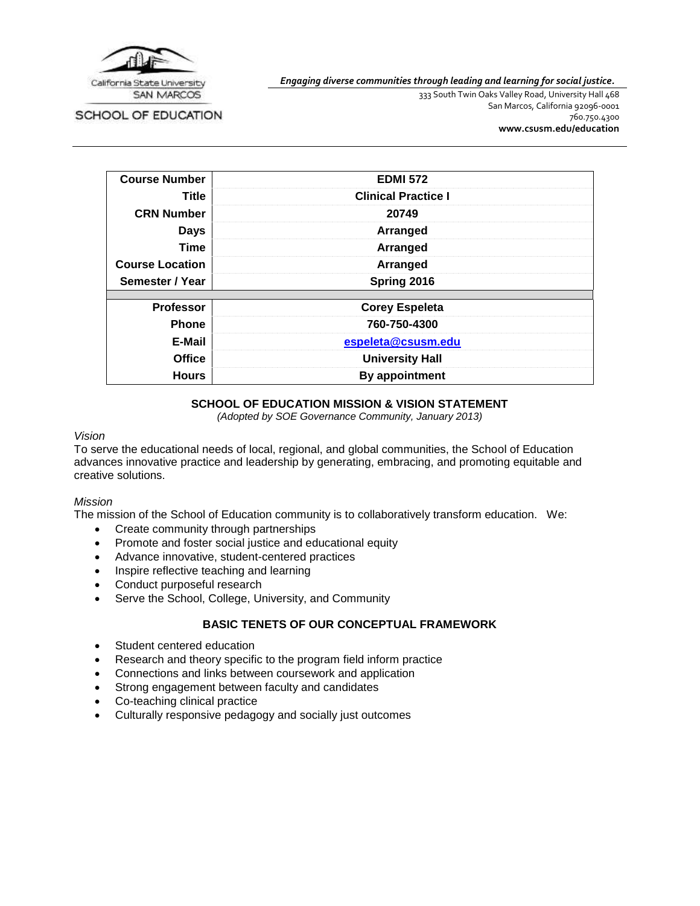

SCHOOL OF EDUCATION

*Engaging diverse communities through leading and learning for social justice.*

333 South Twin Oaks Valley Road, University Hall 468 San Marcos, California 92096-0001 760.750.4300 **[www.csusm.edu/education](http://www.csusm.edu/education)**

| <b>Course Number</b>   | <b>EDMI 572</b>            |  |
|------------------------|----------------------------|--|
| Title                  | <b>Clinical Practice I</b> |  |
| <b>CRN Number</b>      | 20749                      |  |
| <b>Days</b>            | Arranged                   |  |
| <b>Time</b>            | Arranged                   |  |
| <b>Course Location</b> | Arranged                   |  |
| Semester / Year        | Spring 2016                |  |
| <b>Professor</b>       | <b>Corey Espeleta</b>      |  |
| <b>Phone</b>           | 760-750-4300               |  |
| E-Mail                 | espeleta@csusm.edu         |  |
| <b>Office</b>          | <b>University Hall</b>     |  |
| <b>Hours</b>           | <b>By appointment</b>      |  |

### **SCHOOL OF EDUCATION MISSION & VISION STATEMENT**

*(Adopted by SOE Governance Community, January 2013)*

#### *Vision*

To serve the educational needs of local, regional, and global communities, the School of Education advances innovative practice and leadership by generating, embracing, and promoting equitable and creative solutions.

#### *Mission*

The mission of the School of Education community is to collaboratively transform education. We:

- Create community through partnerships
- Promote and foster social justice and educational equity
- Advance innovative, student-centered practices
- Inspire reflective teaching and learning
- Conduct purposeful research
- Serve the School, College, University, and Community

### **BASIC TENETS OF OUR CONCEPTUAL FRAMEWORK**

- Student centered education
- Research and theory specific to the program field inform practice
- Connections and links between coursework and application
- Strong engagement between faculty and candidates
- Co-teaching clinical practice
- Culturally responsive pedagogy and socially just outcomes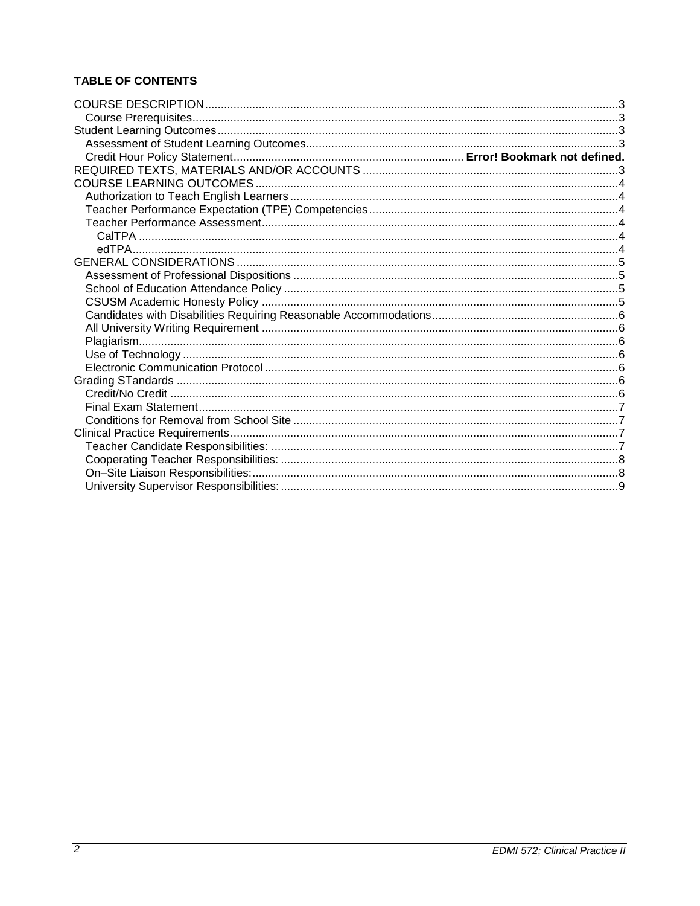# **TABLE OF CONTENTS**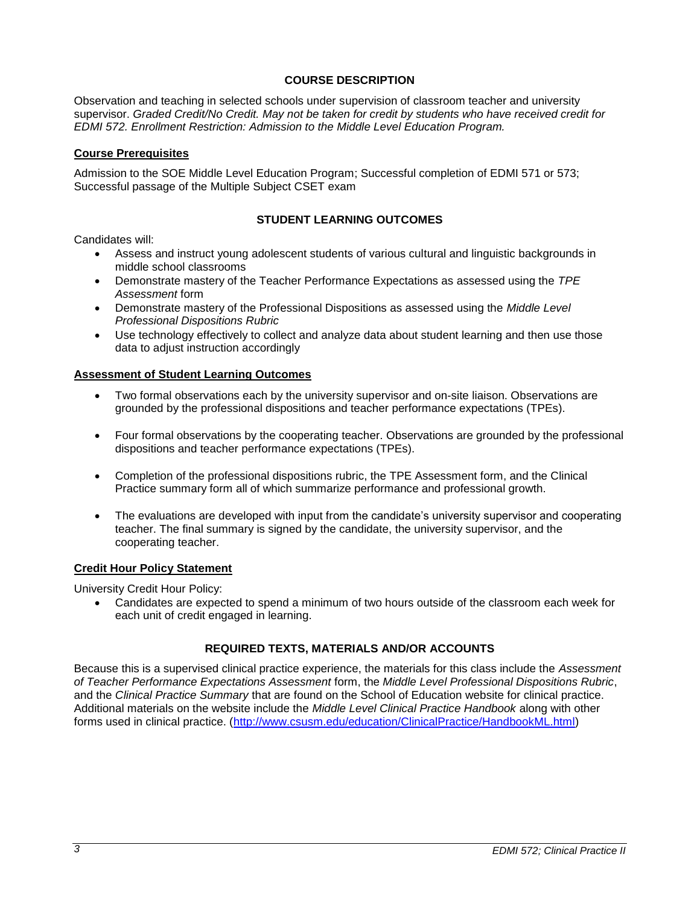### **COURSE DESCRIPTION**

<span id="page-2-0"></span>Observation and teaching in selected schools under supervision of classroom teacher and university supervisor. *Graded Credit/No Credit. May not be taken for credit by students who have received credit for EDMI 572. Enrollment Restriction: Admission to the Middle Level Education Program.*

#### <span id="page-2-1"></span>**Course Prerequisites**

Admission to the SOE Middle Level Education Program; Successful completion of EDMI 571 or 573; Successful passage of the Multiple Subject CSET exam

### **STUDENT LEARNING OUTCOMES**

<span id="page-2-2"></span>Candidates will:

- Assess and instruct young adolescent students of various cultural and linguistic backgrounds in middle school classrooms
- Demonstrate mastery of the Teacher Performance Expectations as assessed using the *TPE Assessment* form
- Demonstrate mastery of the Professional Dispositions as assessed using the *Middle Level Professional Dispositions Rubric*
- Use technology effectively to collect and analyze data about student learning and then use those data to adjust instruction accordingly

#### <span id="page-2-3"></span>**Assessment of Student Learning Outcomes**

- Two formal observations each by the university supervisor and on-site liaison. Observations are grounded by the professional dispositions and teacher performance expectations (TPEs).
- Four formal observations by the cooperating teacher. Observations are grounded by the professional dispositions and teacher performance expectations (TPEs).
- Completion of the professional dispositions rubric, the TPE Assessment form, and the Clinical Practice summary form all of which summarize performance and professional growth.
- The evaluations are developed with input from the candidate's university supervisor and cooperating teacher. The final summary is signed by the candidate, the university supervisor, and the cooperating teacher.

#### **Credit Hour Policy Statement**

University Credit Hour Policy:

 Candidates are expected to spend a minimum of two hours outside of the classroom each week for each unit of credit engaged in learning.

### **REQUIRED TEXTS, MATERIALS AND/OR ACCOUNTS**

<span id="page-2-4"></span>Because this is a supervised clinical practice experience, the materials for this class include the *Assessment of Teacher Performance Expectations Assessment* form, the *Middle Level Professional Dispositions Rubric*, and the *Clinical Practice Summary* that are found on the School of Education website for clinical practice. Additional materials on the website include the *Middle Level Clinical Practice Handbook* along with other forms used in clinical practice. [\(http://www.csusm.edu/education/ClinicalPractice/HandbookML.html\)](http://www.csusm.edu/education/ClinicalPractice/HandbookML.html)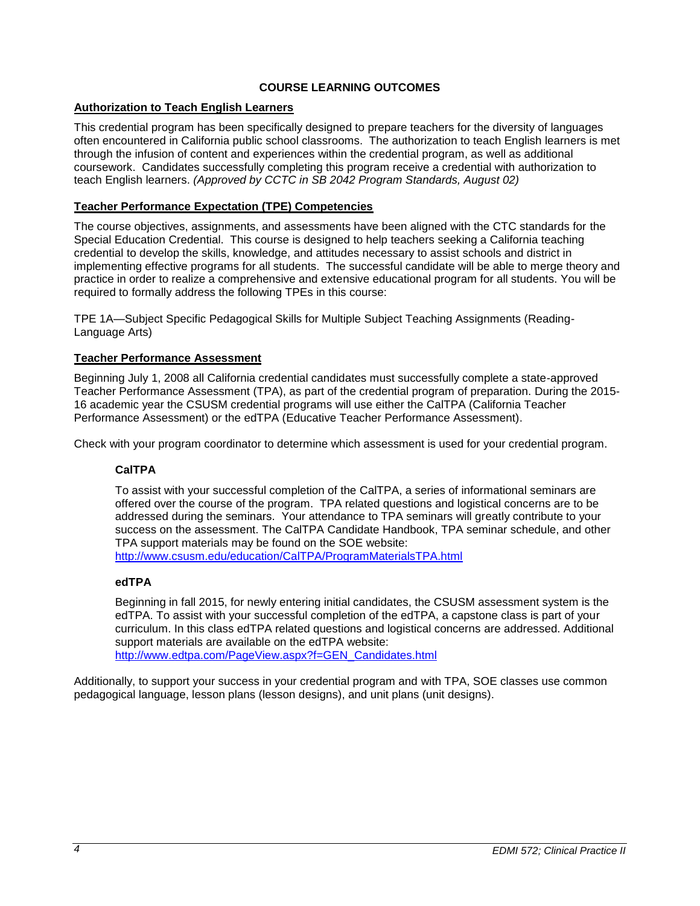### **COURSE LEARNING OUTCOMES**

### <span id="page-3-1"></span><span id="page-3-0"></span>**Authorization to Teach English Learners**

This credential program has been specifically designed to prepare teachers for the diversity of languages often encountered in California public school classrooms. The authorization to teach English learners is met through the infusion of content and experiences within the credential program, as well as additional coursework. Candidates successfully completing this program receive a credential with authorization to teach English learners. *(Approved by CCTC in SB 2042 Program Standards, August 02)*

### <span id="page-3-2"></span>**Teacher Performance Expectation (TPE) Competencies**

The course objectives, assignments, and assessments have been aligned with the CTC standards for the Special Education Credential. This course is designed to help teachers seeking a California teaching credential to develop the skills, knowledge, and attitudes necessary to assist schools and district in implementing effective programs for all students. The successful candidate will be able to merge theory and practice in order to realize a comprehensive and extensive educational program for all students. You will be required to formally address the following TPEs in this course:

TPE 1A—Subject Specific Pedagogical Skills for Multiple Subject Teaching Assignments (Reading-Language Arts)

### <span id="page-3-3"></span>**Teacher Performance Assessment**

Beginning July 1, 2008 all California credential candidates must successfully complete a state-approved Teacher Performance Assessment (TPA), as part of the credential program of preparation. During the 2015- 16 academic year the CSUSM credential programs will use either the CalTPA (California Teacher Performance Assessment) or the edTPA (Educative Teacher Performance Assessment).

<span id="page-3-4"></span>Check with your program coordinator to determine which assessment is used for your credential program.

# **CalTPA**

To assist with your successful completion of the CalTPA, a series of informational seminars are offered over the course of the program. TPA related questions and logistical concerns are to be addressed during the seminars. Your attendance to TPA seminars will greatly contribute to your success on the assessment. The CalTPA Candidate Handbook, TPA seminar schedule, and other TPA support materials may be found on the SOE website:

<http://www.csusm.edu/education/CalTPA/ProgramMaterialsTPA.html>

### <span id="page-3-5"></span>**edTPA**

Beginning in fall 2015, for newly entering initial candidates, the CSUSM assessment system is the edTPA. To assist with your successful completion of the edTPA, a capstone class is part of your curriculum. In this class edTPA related questions and logistical concerns are addressed. Additional support materials are available on the edTPA website: [http://www.edtpa.com/PageView.aspx?f=GEN\\_Candidates.html](http://www.edtpa.com/PageView.aspx?f=GEN_Candidates.html)

<span id="page-3-6"></span>Additionally, to support your success in your credential program and with TPA, SOE classes use common pedagogical language, lesson plans (lesson designs), and unit plans (unit designs).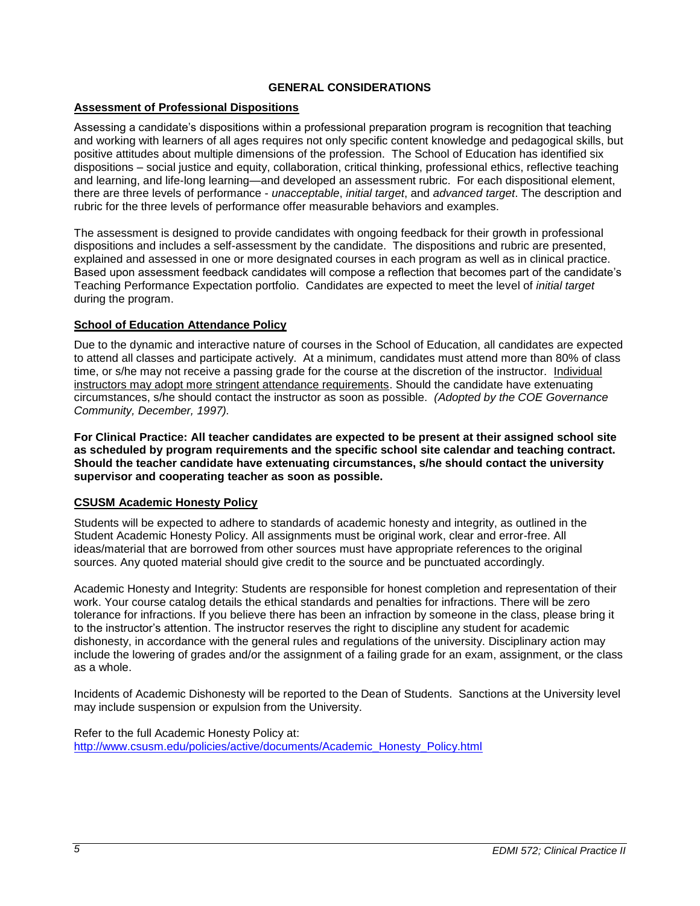### **GENERAL CONSIDERATIONS**

### <span id="page-4-0"></span>**Assessment of Professional Dispositions**

Assessing a candidate's dispositions within a professional preparation program is recognition that teaching and working with learners of all ages requires not only specific content knowledge and pedagogical skills, but positive attitudes about multiple dimensions of the profession. The School of Education has identified six dispositions – social justice and equity, collaboration, critical thinking, professional ethics, reflective teaching and learning, and life-long learning—and developed an assessment rubric. For each dispositional element, there are three levels of performance - *unacceptable*, *initial target*, and *advanced target*. The description and rubric for the three levels of performance offer measurable behaviors and examples.

The assessment is designed to provide candidates with ongoing feedback for their growth in professional dispositions and includes a self-assessment by the candidate. The dispositions and rubric are presented, explained and assessed in one or more designated courses in each program as well as in clinical practice. Based upon assessment feedback candidates will compose a reflection that becomes part of the candidate's Teaching Performance Expectation portfolio. Candidates are expected to meet the level of *initial target* during the program.

### <span id="page-4-1"></span>**School of Education Attendance Policy**

Due to the dynamic and interactive nature of courses in the School of Education, all candidates are expected to attend all classes and participate actively. At a minimum, candidates must attend more than 80% of class time, or s/he may not receive a passing grade for the course at the discretion of the instructor. Individual instructors may adopt more stringent attendance requirements. Should the candidate have extenuating circumstances, s/he should contact the instructor as soon as possible. *(Adopted by the COE Governance Community, December, 1997).*

**For Clinical Practice: All teacher candidates are expected to be present at their assigned school site as scheduled by program requirements and the specific school site calendar and teaching contract. Should the teacher candidate have extenuating circumstances, s/he should contact the university supervisor and cooperating teacher as soon as possible.** 

### <span id="page-4-2"></span>**CSUSM Academic Honesty Policy**

Students will be expected to adhere to standards of academic honesty and integrity, as outlined in the Student Academic Honesty Policy. All assignments must be original work, clear and error-free. All ideas/material that are borrowed from other sources must have appropriate references to the original sources. Any quoted material should give credit to the source and be punctuated accordingly.

Academic Honesty and Integrity: Students are responsible for honest completion and representation of their work. Your course catalog details the ethical standards and penalties for infractions. There will be zero tolerance for infractions. If you believe there has been an infraction by someone in the class, please bring it to the instructor's attention. The instructor reserves the right to discipline any student for academic dishonesty, in accordance with the general rules and regulations of the university. Disciplinary action may include the lowering of grades and/or the assignment of a failing grade for an exam, assignment, or the class as a whole.

Incidents of Academic Dishonesty will be reported to the Dean of Students. Sanctions at the University level may include suspension or expulsion from the University.

<span id="page-4-3"></span>Refer to the full Academic Honesty Policy at: [http://www.csusm.edu/policies/active/documents/Academic\\_Honesty\\_Policy.html](http://www.csusm.edu/policies/active/documents/Academic_Honesty_Policy.html)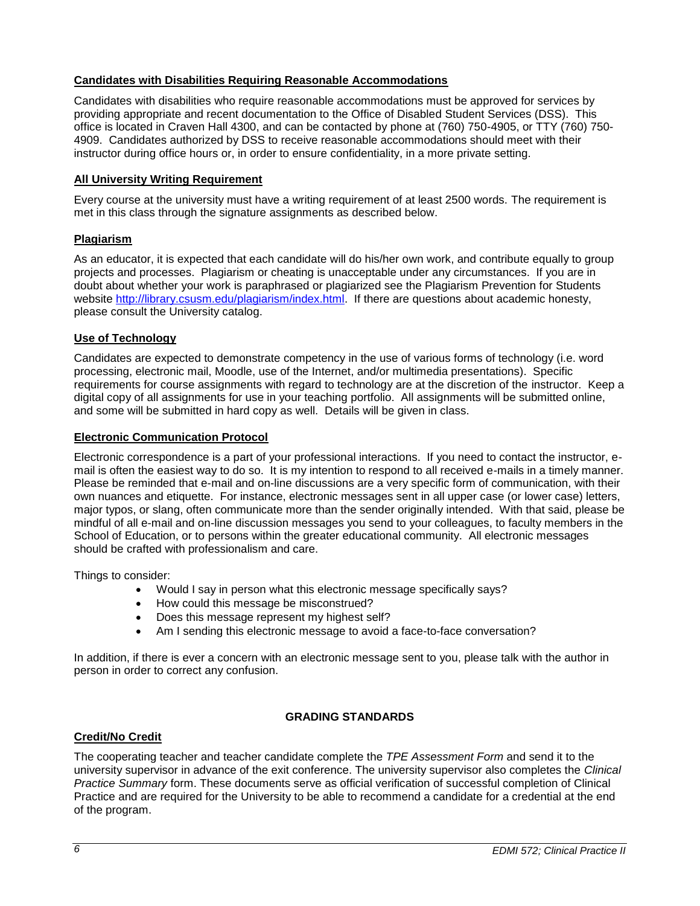### **Candidates with Disabilities Requiring Reasonable Accommodations**

Candidates with disabilities who require reasonable accommodations must be approved for services by providing appropriate and recent documentation to the Office of Disabled Student Services (DSS). This office is located in Craven Hall 4300, and can be contacted by phone at (760) 750-4905, or TTY (760) 750- 4909. Candidates authorized by DSS to receive reasonable accommodations should meet with their instructor during office hours or, in order to ensure confidentiality, in a more private setting.

### <span id="page-5-0"></span>**All University Writing Requirement**

Every course at the university must have a writing requirement of at least 2500 words. The requirement is met in this class through the signature assignments as described below.

### <span id="page-5-1"></span>**Plagiarism**

As an educator, it is expected that each candidate will do his/her own work, and contribute equally to group projects and processes. Plagiarism or cheating is unacceptable under any circumstances. If you are in doubt about whether your work is paraphrased or plagiarized see the Plagiarism Prevention for Students website [http://library.csusm.edu/plagiarism/index.html.](http://library.csusm.edu/plagiarism/index.html) If there are questions about academic honesty, please consult the University catalog.

### <span id="page-5-2"></span>**Use of Technology**

Candidates are expected to demonstrate competency in the use of various forms of technology (i.e. word processing, electronic mail, Moodle, use of the Internet, and/or multimedia presentations). Specific requirements for course assignments with regard to technology are at the discretion of the instructor. Keep a digital copy of all assignments for use in your teaching portfolio. All assignments will be submitted online, and some will be submitted in hard copy as well. Details will be given in class.

### <span id="page-5-3"></span>**Electronic Communication Protocol**

Electronic correspondence is a part of your professional interactions. If you need to contact the instructor, email is often the easiest way to do so. It is my intention to respond to all received e-mails in a timely manner. Please be reminded that e-mail and on-line discussions are a very specific form of communication, with their own nuances and etiquette. For instance, electronic messages sent in all upper case (or lower case) letters, major typos, or slang, often communicate more than the sender originally intended. With that said, please be mindful of all e-mail and on-line discussion messages you send to your colleagues, to faculty members in the School of Education, or to persons within the greater educational community. All electronic messages should be crafted with professionalism and care.

Things to consider:

- Would I say in person what this electronic message specifically says?
- How could this message be misconstrued?
- Does this message represent my highest self?
- Am I sending this electronic message to avoid a face-to-face conversation?

In addition, if there is ever a concern with an electronic message sent to you, please talk with the author in person in order to correct any confusion.

### **GRADING STANDARDS**

### <span id="page-5-5"></span><span id="page-5-4"></span>**Credit/No Credit**

The cooperating teacher and teacher candidate complete the *TPE Assessment Form* and send it to the university supervisor in advance of the exit conference. The university supervisor also completes the *Clinical Practice Summary* form. These documents serve as official verification of successful completion of Clinical Practice and are required for the University to be able to recommend a candidate for a credential at the end of the program.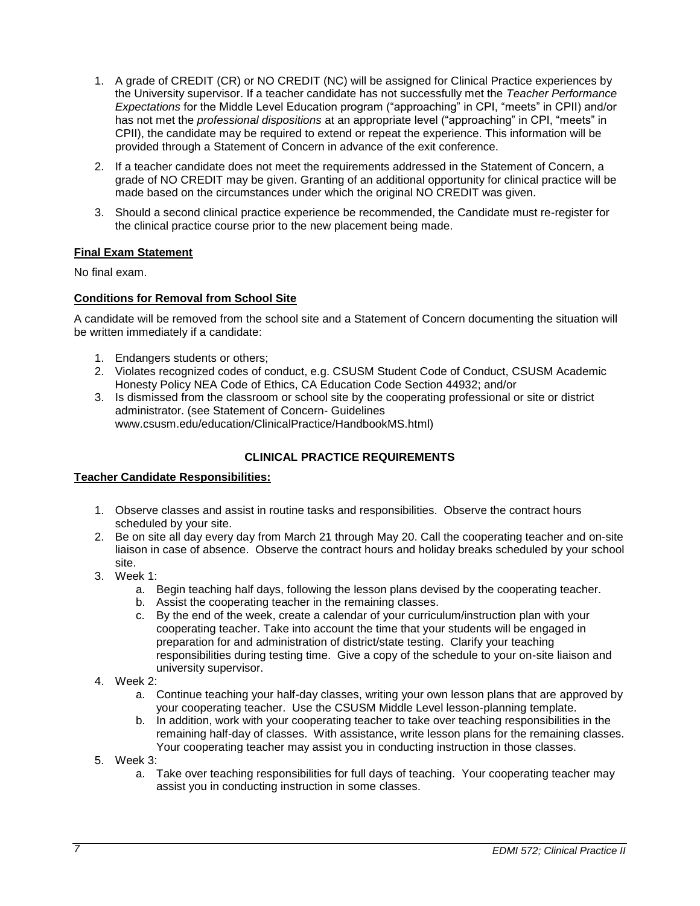- 1. A grade of CREDIT (CR) or NO CREDIT (NC) will be assigned for Clinical Practice experiences by the University supervisor. If a teacher candidate has not successfully met the *Teacher Performance Expectations* for the Middle Level Education program ("approaching" in CPI, "meets" in CPII) and/or has not met the *professional dispositions* at an appropriate level ("approaching" in CPI, "meets" in CPII), the candidate may be required to extend or repeat the experience. This information will be provided through a Statement of Concern in advance of the exit conference.
- 2. If a teacher candidate does not meet the requirements addressed in the Statement of Concern, a grade of NO CREDIT may be given. Granting of an additional opportunity for clinical practice will be made based on the circumstances under which the original NO CREDIT was given.
- 3. Should a second clinical practice experience be recommended, the Candidate must re-register for the clinical practice course prior to the new placement being made.

### <span id="page-6-0"></span>**Final Exam Statement**

No final exam.

### <span id="page-6-1"></span>**Conditions for Removal from School Site**

A candidate will be removed from the school site and a Statement of Concern documenting the situation will be written immediately if a candidate:

- 1. Endangers students or others;
- 2. Violates recognized codes of conduct, e.g. CSUSM Student Code of Conduct, CSUSM Academic Honesty Policy NEA Code of Ethics, CA Education Code Section 44932; and/or
- 3. Is dismissed from the classroom or school site by the cooperating professional or site or district administrator. (see Statement of Concern- Guidelines

www.csusm.edu/education/ClinicalPractice/HandbookMS.html)

## **CLINICAL PRACTICE REQUIREMENTS**

### <span id="page-6-3"></span><span id="page-6-2"></span>**Teacher Candidate Responsibilities:**

- 1. Observe classes and assist in routine tasks and responsibilities. Observe the contract hours scheduled by your site.
- 2. Be on site all day every day from March 21 through May 20. Call the cooperating teacher and on-site liaison in case of absence. Observe the contract hours and holiday breaks scheduled by your school site.
- 3. Week 1:
	- a. Begin teaching half days, following the lesson plans devised by the cooperating teacher.
	- b. Assist the cooperating teacher in the remaining classes.
	- c. By the end of the week, create a calendar of your curriculum/instruction plan with your cooperating teacher. Take into account the time that your students will be engaged in preparation for and administration of district/state testing. Clarify your teaching responsibilities during testing time. Give a copy of the schedule to your on-site liaison and university supervisor.
- 4. Week 2:
	- a. Continue teaching your half-day classes, writing your own lesson plans that are approved by your cooperating teacher. Use the CSUSM Middle Level lesson-planning template.
	- b. In addition, work with your cooperating teacher to take over teaching responsibilities in the remaining half-day of classes. With assistance, write lesson plans for the remaining classes. Your cooperating teacher may assist you in conducting instruction in those classes.
- 5. Week 3:
	- a. Take over teaching responsibilities for full days of teaching. Your cooperating teacher may assist you in conducting instruction in some classes.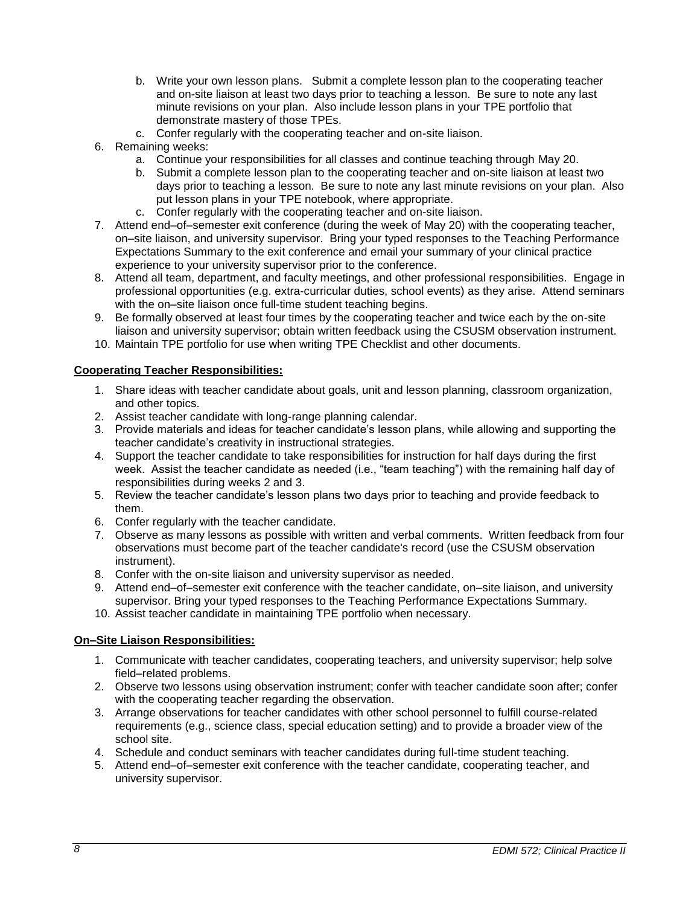- b. Write your own lesson plans. Submit a complete lesson plan to the cooperating teacher and on-site liaison at least two days prior to teaching a lesson. Be sure to note any last minute revisions on your plan. Also include lesson plans in your TPE portfolio that demonstrate mastery of those TPEs.
- c. Confer regularly with the cooperating teacher and on-site liaison.
- 6. Remaining weeks:
	- a. Continue your responsibilities for all classes and continue teaching through May 20.
	- b. Submit a complete lesson plan to the cooperating teacher and on-site liaison at least two days prior to teaching a lesson. Be sure to note any last minute revisions on your plan. Also put lesson plans in your TPE notebook, where appropriate.
	- c. Confer regularly with the cooperating teacher and on-site liaison.
- 7. Attend end–of–semester exit conference (during the week of May 20) with the cooperating teacher, on–site liaison, and university supervisor. Bring your typed responses to the Teaching Performance Expectations Summary to the exit conference and email your summary of your clinical practice experience to your university supervisor prior to the conference.
- 8. Attend all team, department, and faculty meetings, and other professional responsibilities. Engage in professional opportunities (e.g. extra-curricular duties, school events) as they arise. Attend seminars with the on–site liaison once full-time student teaching begins.
- 9. Be formally observed at least four times by the cooperating teacher and twice each by the on-site liaison and university supervisor; obtain written feedback using the CSUSM observation instrument.
- 10. Maintain TPE portfolio for use when writing TPE Checklist and other documents.

#### <span id="page-7-0"></span>**Cooperating Teacher Responsibilities:**

- 1. Share ideas with teacher candidate about goals, unit and lesson planning, classroom organization, and other topics.
- 2. Assist teacher candidate with long-range planning calendar.
- 3. Provide materials and ideas for teacher candidate's lesson plans, while allowing and supporting the teacher candidate's creativity in instructional strategies.
- 4. Support the teacher candidate to take responsibilities for instruction for half days during the first week. Assist the teacher candidate as needed (i.e., "team teaching") with the remaining half day of responsibilities during weeks 2 and 3.
- 5. Review the teacher candidate's lesson plans two days prior to teaching and provide feedback to them.
- 6. Confer regularly with the teacher candidate.
- 7. Observe as many lessons as possible with written and verbal comments. Written feedback from four observations must become part of the teacher candidate's record (use the CSUSM observation instrument).
- 8. Confer with the on-site liaison and university supervisor as needed.
- 9. Attend end–of–semester exit conference with the teacher candidate, on–site liaison, and university supervisor. Bring your typed responses to the Teaching Performance Expectations Summary.
- 10. Assist teacher candidate in maintaining TPE portfolio when necessary.

### <span id="page-7-1"></span>**On–Site Liaison Responsibilities:**

- 1. Communicate with teacher candidates, cooperating teachers, and university supervisor; help solve field–related problems.
- 2. Observe two lessons using observation instrument; confer with teacher candidate soon after; confer with the cooperating teacher regarding the observation.
- 3. Arrange observations for teacher candidates with other school personnel to fulfill course-related requirements (e.g., science class, special education setting) and to provide a broader view of the school site.
- 4. Schedule and conduct seminars with teacher candidates during full-time student teaching.
- 5. Attend end–of–semester exit conference with the teacher candidate, cooperating teacher, and university supervisor.